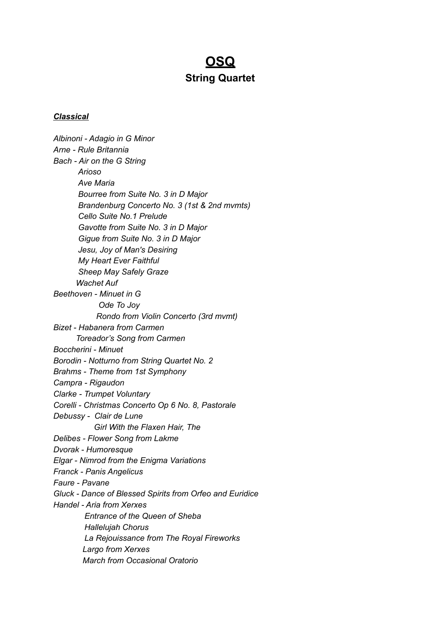# **OSQ String Quartet**

#### *Classical*

*Albinoni - Adagio in G Minor Arne - Rule Britannia Bach - Air on the G String Arioso Ave Maria Bourree from Suite No. 3 in D Major Brandenburg Concerto No. 3 (1st & 2nd mvmts) Cello Suite No.1 Prelude Gavotte from Suite No. 3 in D Major Gigue from Suite No. 3 in D Major Jesu, Joy of Man's Desiring My Heart Ever Faithful Sheep May Safely Graze Wachet Auf Beethoven - Minuet in G Ode To Joy Rondo from Violin Concerto (3rd mvmt) Bizet - Habanera from Carmen Toreador's Song from Carmen Boccherini - Minuet Borodin - Notturno from String Quartet No. 2 Brahms - Theme from 1st Symphony Campra - Rigaudon Clarke - Trumpet Voluntary Corelli - Christmas Concerto Op 6 No. 8, Pastorale Debussy - Clair de Lune Girl With the Flaxen Hair, The Delibes - Flower Song from Lakme Dvorak - Humoresque Elgar - Nimrod from the Enigma Variations Franck - Panis Angelicus Faure - Pavane Gluck - Dance of Blessed Spirits from Orfeo and Euridice Handel - Aria from Xerxes Entrance of the Queen of Sheba Hallelujah Chorus La Rejouissance from The Royal Fireworks Largo from Xerxes March from Occasional Oratorio*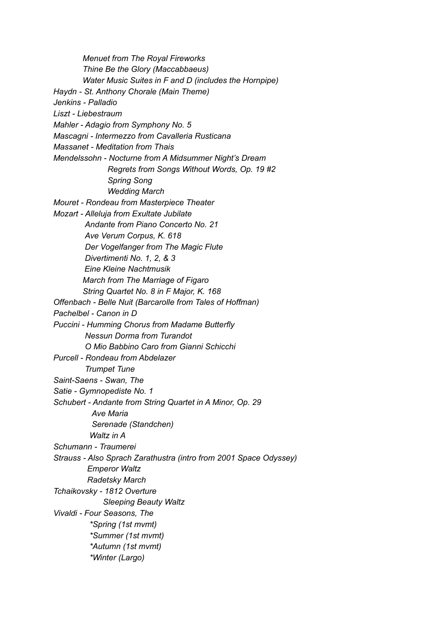*Menuet from The Royal Fireworks Thine Be the Glory (Maccabbaeus) Water Music Suites in F and D (includes the Hornpipe) Haydn - St. Anthony Chorale (Main Theme) Jenkins - Palladio Liszt - Liebestraum Mahler - Adagio from Symphony No. 5 Mascagni - Intermezzo from Cavalleria Rusticana Massanet - Meditation from Thais Mendelssohn - Nocturne from A Midsummer Night's Dream Regrets from Songs Without Words, Op. 19 #2 Spring Song Wedding March Mouret - Rondeau from Masterpiece Theater Mozart - Alleluja from Exultate Jubilate Andante from Piano Concerto No. 21 Ave Verum Corpus, K. 618 Der Vogelfanger from The Magic Flute Divertimenti No. 1, 2, & 3 Eine Kleine Nachtmusik March from The Marriage of Figaro String Quartet No. 8 in F Major, K. 168 Offenbach - Belle Nuit (Barcarolle from Tales of Hoffman) Pachelbel - Canon in D Puccini - Humming Chorus from Madame Butterfly Nessun Dorma from Turandot O Mio Babbino Caro from Gianni Schicchi Purcell - Rondeau from Abdelazer Trumpet Tune Saint-Saens - Swan, The Satie - Gymnopediste No. 1 Schubert - Andante from String Quartet in A Minor, Op. 29 Ave Maria Serenade (Standchen) Waltz in A Schumann - Traumerei Strauss - Also Sprach Zarathustra (intro from 2001 Space Odyssey) Emperor Waltz Radetsky March Tchaikovsky - 1812 Overture Sleeping Beauty Waltz Vivaldi - Four Seasons, The \*Spring (1st mvmt) \*Summer (1st mvmt) \*Autumn (1st mvmt) \*Winter (Largo)*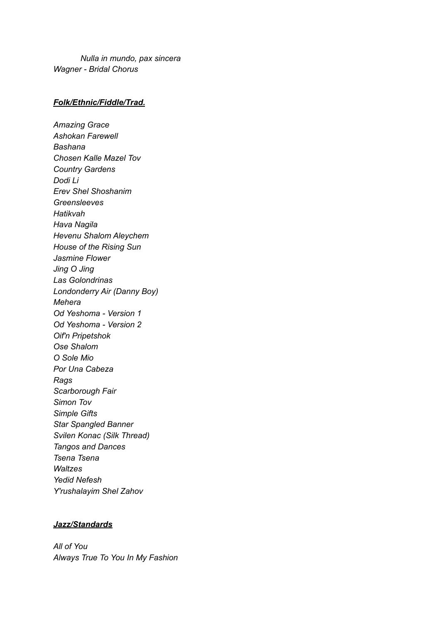*Nulla in mundo, pax sincera Wagner - Bridal Chorus*

## *Folk/Ethnic/Fiddle/Trad.*

*Amazing Grace Ashokan Farewell Bashana Chosen Kalle Mazel Tov Country Gardens Dodi Li Erev Shel Shoshanim Greensleeves Hatikvah Hava Nagila Hevenu Shalom Aleychem House of the Rising Sun Jasmine Flower Jing O Jing Las Golondrinas Londonderry Air (Danny Boy) Mehera Od Yeshoma - Version 1 Od Yeshoma - Version 2 Oif'n Pripetshok Ose Shalom O Sole Mio Por Una Cabeza Rags Scarborough Fair Simon Tov Simple Gifts Star Spangled Banner Svilen Konac (Silk Thread) Tangos and Dances Tsena Tsena Waltzes Yedid Nefesh Y'rushalayim Shel Zahov*

## *Jazz/Standards*

*All of You Always True To You In My Fashion*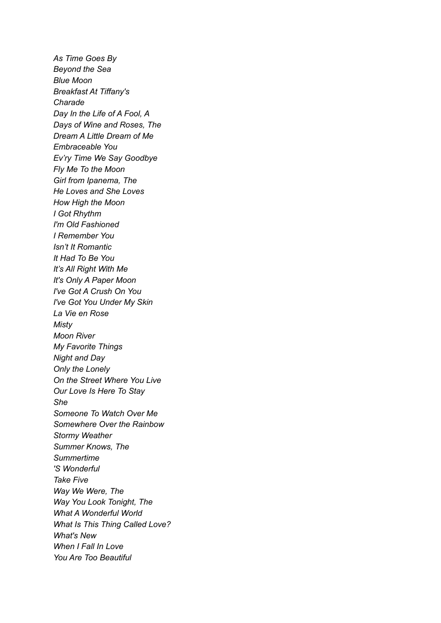*As Time Goes By Beyond the Sea Blue Moon Breakfast At Tiffany's Charade Day In the Life of A Fool, A Days of Wine and Roses, The Dream A Little Dream of Me Embraceable You Ev'ry Time We Say Goodbye Fly Me To the Moon Girl from Ipanema, The He Loves and She Loves How High the Moon I Got Rhythm I'm Old Fashioned I Remember You Isn't It Romantic It Had To Be You It's All Right With Me It's Only A Paper Moon I've Got A Crush On You I've Got You Under My Skin La Vie en Rose Misty Moon River My Favorite Things Night and Day Only the Lonely On the Street Where You Live Our Love Is Here To Stay She Someone To Watch Over Me Somewhere Over the Rainbow Stormy Weather Summer Knows, The Summertime 'S Wonderful Take Five Way We Were, The Way You Look Tonight, The What A Wonderful World What Is This Thing Called Love? What's New When I Fall In Love You Are Too Beautiful*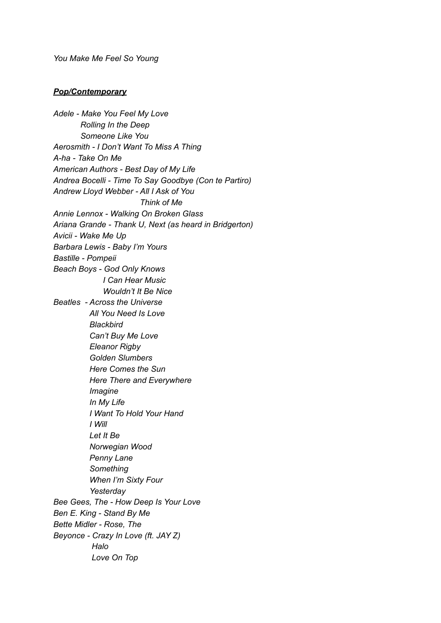*You Make Me Feel So Young*

#### *Pop/Contemporary*

*Adele - Make You Feel My Love Rolling In the Deep Someone Like You Aerosmith - I Don't Want To Miss A Thing A-ha - Take On Me American Authors - Best Day of My Life Andrea Bocelli - Time To Say Goodbye (Con te Partiro) Andrew Lloyd Webber - All I Ask of You Think of Me Annie Lennox - Walking On Broken Glass Ariana Grande - Thank U, Next (as heard in Bridgerton) Avicii - Wake Me Up Barbara Lewis - Baby I'm Yours Bastille - Pompeii Beach Boys - God Only Knows I Can Hear Music Wouldn't It Be Nice Beatles - Across the Universe All You Need Is Love Blackbird Can't Buy Me Love Eleanor Rigby Golden Slumbers Here Comes the Sun Here There and Everywhere Imagine In My Life I Want To Hold Your Hand I Will Let It Be Norwegian Wood Penny Lane Something When I'm Sixty Four Yesterday Bee Gees, The - How Deep Is Your Love Ben E. King - Stand By Me Bette Midler - Rose, The Beyonce - Crazy In Love (ft. JAY Z) Halo Love On Top*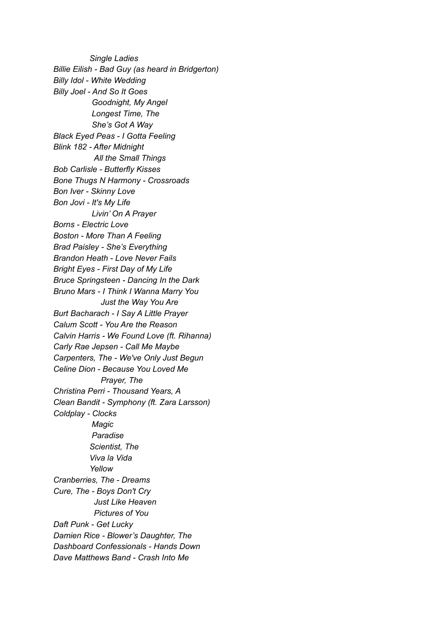*Single Ladies Billie Eilish - Bad Guy (as heard in Bridgerton) Billy Idol - White Wedding Billy Joel - And So It Goes Goodnight, My Angel Longest Time, The She's Got A Way Black Eyed Peas - I Gotta Feeling Blink 182 - After Midnight All the Small Things Bob Carlisle - Butterfly Kisses Bone Thugs N Harmony - Crossroads Bon Iver - Skinny Love Bon Jovi - It's My Life Livin' On A Prayer Borns - Electric Love Boston - More Than A Feeling Brad Paisley - She's Everything Brandon Heath - Love Never Fails Bright Eyes - First Day of My Life Bruce Springsteen - Dancing In the Dark Bruno Mars - I Think I Wanna Marry You Just the Way You Are Burt Bacharach - I Say A Little Prayer Calum Scott - You Are the Reason Calvin Harris - We Found Love (ft. Rihanna) Carly Rae Jepsen - Call Me Maybe Carpenters, The - We've Only Just Begun Celine Dion - Because You Loved Me Prayer, The Christina Perri - Thousand Years, A Clean Bandit - Symphony (ft. Zara Larsson) Coldplay - Clocks Magic Paradise Scientist, The Viva la Vida Yellow Cranberries, The - Dreams Cure, The - Boys Don't Cry Just Like Heaven Pictures of You Daft Punk - Get Lucky Damien Rice - Blower's Daughter, The Dashboard Confessionals - Hands Down Dave Matthews Band - Crash Into Me*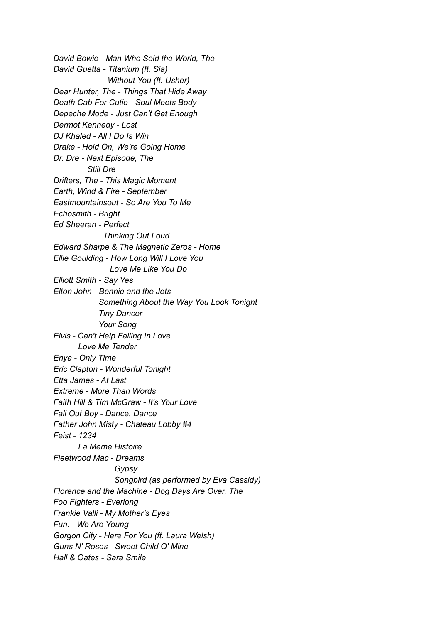*David Bowie - Man Who Sold the World, The David Guetta - Titanium (ft. Sia) Without You (ft. Usher) Dear Hunter, The - Things That Hide Away Death Cab For Cutie - Soul Meets Body Depeche Mode - Just Can't Get Enough Dermot Kennedy - Lost DJ Khaled - All I Do Is Win Drake - Hold On, We're Going Home Dr. Dre - Next Episode, The Still Dre Drifters, The - This Magic Moment Earth, Wind & Fire - September Eastmountainsout - So Are You To Me Echosmith - Bright Ed Sheeran - Perfect Thinking Out Loud Edward Sharpe & The Magnetic Zeros - Home Ellie Goulding - How Long Will I Love You Love Me Like You Do Elliott Smith - Say Yes Elton John - Bennie and the Jets Something About the Way You Look Tonight Tiny Dancer Your Song Elvis - Can't Help Falling In Love Love Me Tender Enya - Only Time Eric Clapton - Wonderful Tonight Etta James - At Last Extreme - More Than Words Faith Hill & Tim McGraw - It's Your Love Fall Out Boy - Dance, Dance Father John Misty - Chateau Lobby #4 Feist - 1234 La Meme Histoire Fleetwood Mac - Dreams Gypsy Songbird (as performed by Eva Cassidy) Florence and the Machine - Dog Days Are Over, The Foo Fighters - Everlong Frankie Valli - My Mother's Eyes Fun. - We Are Young Gorgon City - Here For You (ft. Laura Welsh) Guns N' Roses - Sweet Child O' Mine Hall & Oates - Sara Smile*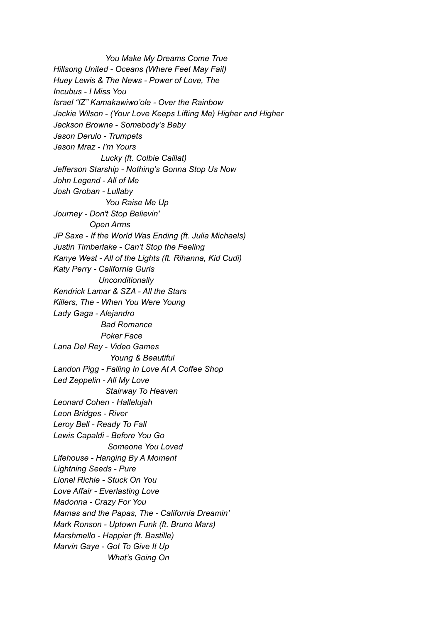*You Make My Dreams Come True Hillsong United - Oceans (Where Feet May Fail) Huey Lewis & The News - Power of Love, The Incubus - I Miss You Israel "IZ" Kamakawiwo'ole - Over the Rainbow Jackie Wilson - (Your Love Keeps Lifting Me) Higher and Higher Jackson Browne - Somebody's Baby Jason Derulo - Trumpets Jason Mraz - I'm Yours Lucky (ft. Colbie Caillat) Jefferson Starship - Nothing's Gonna Stop Us Now John Legend - All of Me Josh Groban - Lullaby You Raise Me Up Journey - Don't Stop Believin' Open Arms JP Saxe - If the World Was Ending (ft. Julia Michaels) Justin Timberlake - Can't Stop the Feeling Kanye West - All of the Lights (ft. Rihanna, Kid Cudi) Katy Perry - California Gurls Unconditionally Kendrick Lamar & SZA - All the Stars Killers, The - When You Were Young Lady Gaga - Alejandro Bad Romance Poker Face Lana Del Rey - Video Games Young & Beautiful Landon Pigg - Falling In Love At A Coffee Shop Led Zeppelin - All My Love Stairway To Heaven Leonard Cohen - Hallelujah Leon Bridges - River Leroy Bell - Ready To Fall Lewis Capaldi - Before You Go Someone You Loved Lifehouse - Hanging By A Moment Lightning Seeds - Pure Lionel Richie - Stuck On You Love Affair - Everlasting Love Madonna - Crazy For You Mamas and the Papas, The - California Dreamin' Mark Ronson - Uptown Funk (ft. Bruno Mars) Marshmello - Happier (ft. Bastille) Marvin Gaye - Got To Give It Up What's Going On*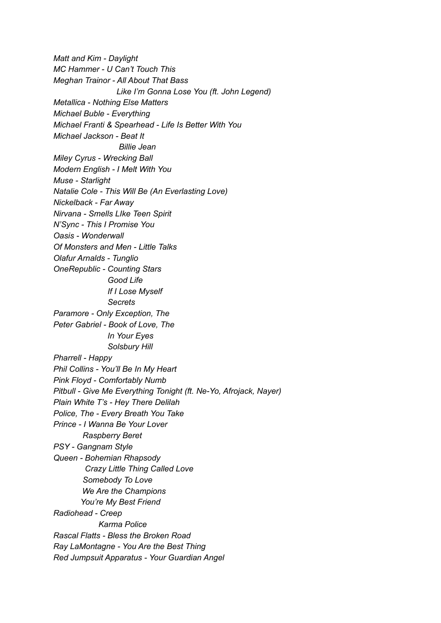*Matt and Kim - Daylight MC Hammer - U Can't Touch This Meghan Trainor - All About That Bass Like I'm Gonna Lose You (ft. John Legend) Metallica - Nothing Else Matters Michael Buble - Everything Michael Franti & Spearhead - Life Is Better With You Michael Jackson - Beat It Billie Jean Miley Cyrus - Wrecking Ball Modern English - I Melt With You Muse - Starlight Natalie Cole - This Will Be (An Everlasting Love) Nickelback - Far Away Nirvana - Smells LIke Teen Spirit N'Sync - This I Promise You Oasis - Wonderwall Of Monsters and Men - Little Talks Olafur Arnalds - Tunglio OneRepublic - Counting Stars Good Life If I Lose Myself Secrets Paramore - Only Exception, The Peter Gabriel - Book of Love, The In Your Eyes Solsbury Hill Pharrell - Happy Phil Collins - You'll Be In My Heart Pink Floyd - Comfortably Numb Pitbull - Give Me Everything Tonight (ft. Ne-Yo, Afrojack, Nayer) Plain White T's - Hey There Delilah Police, The - Every Breath You Take Prince - I Wanna Be Your Lover Raspberry Beret PSY - Gangnam Style Queen - Bohemian Rhapsody Crazy Little Thing Called Love Somebody To Love We Are the Champions You're My Best Friend Radiohead - Creep Karma Police Rascal Flatts - Bless the Broken Road Ray LaMontagne - You Are the Best Thing Red Jumpsuit Apparatus - Your Guardian Angel*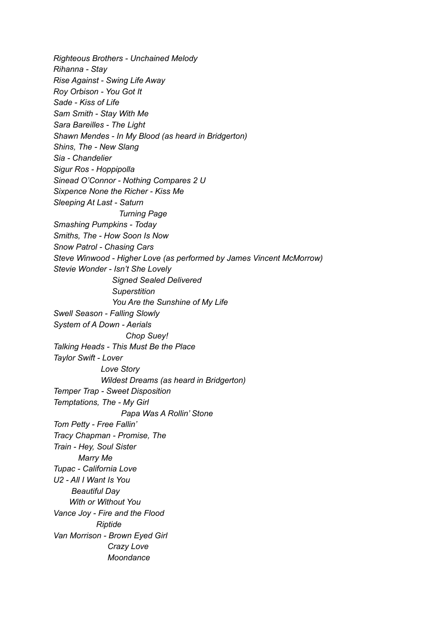*Righteous Brothers - Unchained Melody Rihanna - Stay Rise Against - Swing Life Away Roy Orbison - You Got It Sade - Kiss of Life Sam Smith - Stay With Me Sara Bareilles - The Light Shawn Mendes - In My Blood (as heard in Bridgerton) Shins, The - New Slang Sia - Chandelier Sigur Ros - Hoppipolla Sinead O'Connor - Nothing Compares 2 U Sixpence None the Richer - Kiss Me Sleeping At Last - Saturn Turning Page Smashing Pumpkins - Today Smiths, The - How Soon Is Now Snow Patrol - Chasing Cars Steve Winwood - Higher Love (as performed by James Vincent McMorrow) Stevie Wonder - Isn't She Lovely Signed Sealed Delivered Superstition You Are the Sunshine of My Life Swell Season - Falling Slowly System of A Down - Aerials Chop Suey! Talking Heads - This Must Be the Place Taylor Swift - Lover Love Story Wildest Dreams (as heard in Bridgerton) Temper Trap - Sweet Disposition Temptations, The - My Girl Papa Was A Rollin' Stone Tom Petty - Free Fallin' Tracy Chapman - Promise, The Train - Hey, Soul Sister Marry Me Tupac - California Love U2 - All I Want Is You Beautiful Day With or Without You Vance Joy - Fire and the Flood Riptide Van Morrison - Brown Eyed Girl Crazy Love Moondance*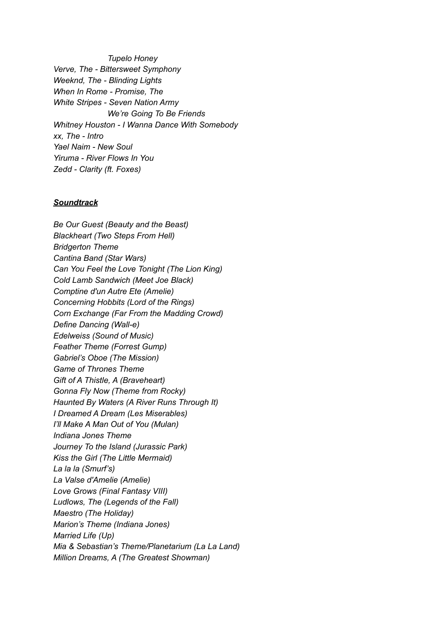*Tupelo Honey Verve, The - Bittersweet Symphony Weeknd, The - Blinding Lights When In Rome - Promise, The White Stripes - Seven Nation Army We're Going To Be Friends Whitney Houston - I Wanna Dance With Somebody xx, The - Intro Yael Naim - New Soul Yiruma - River Flows In You Zedd - Clarity (ft. Foxes)*

### *Soundtrack*

*Be Our Guest (Beauty and the Beast) Blackheart (Two Steps From Hell) Bridgerton Theme Cantina Band (Star Wars) Can You Feel the Love Tonight (The Lion King) Cold Lamb Sandwich (Meet Joe Black) Comptine d'un Autre Ete (Amelie) Concerning Hobbits (Lord of the Rings) Corn Exchange (Far From the Madding Crowd) Define Dancing (Wall-e) Edelweiss (Sound of Music) Feather Theme (Forrest Gump) Gabriel's Oboe (The Mission) Game of Thrones Theme Gift of A Thistle, A (Braveheart) Gonna Fly Now (Theme from Rocky) Haunted By Waters (A River Runs Through It) I Dreamed A Dream (Les Miserables) I'll Make A Man Out of You (Mulan) Indiana Jones Theme Journey To the Island (Jurassic Park) Kiss the Girl (The Little Mermaid) La la la (Smurf's) La Valse d'Amelie (Amelie) Love Grows (Final Fantasy VIII) Ludlows, The (Legends of the Fall) Maestro (The Holiday) Marion's Theme (Indiana Jones) Married Life (Up) Mia & Sebastian's Theme/Planetarium (La La Land) Million Dreams, A (The Greatest Showman)*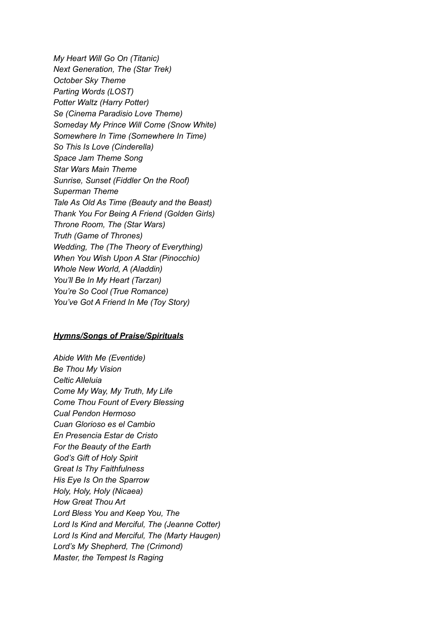*My Heart Will Go On (Titanic) Next Generation, The (Star Trek) October Sky Theme Parting Words (LOST) Potter Waltz (Harry Potter) Se (Cinema Paradisio Love Theme) Someday My Prince Will Come (Snow White) Somewhere In Time (Somewhere In Time) So This Is Love (Cinderella) Space Jam Theme Song Star Wars Main Theme Sunrise, Sunset (Fiddler On the Roof) Superman Theme Tale As Old As Time (Beauty and the Beast) Thank You For Being A Friend (Golden Girls) Throne Room, The (Star Wars) Truth (Game of Thrones) Wedding, The (The Theory of Everything) When You Wish Upon A Star (Pinocchio) Whole New World, A (Aladdin) You'll Be In My Heart (Tarzan) You're So Cool (True Romance) You've Got A Friend In Me (Toy Story)*

### *Hymns/Songs of Praise/Spirituals*

*Abide With Me (Eventide) Be Thou My Vision Celtic Alleluia Come My Way, My Truth, My Life Come Thou Fount of Every Blessing Cual Pendon Hermoso Cuan Glorioso es el Cambio En Presencia Estar de Cristo For the Beauty of the Earth God's Gift of Holy Spirit Great Is Thy Faithfulness His Eye Is On the Sparrow Holy, Holy, Holy (Nicaea) How Great Thou Art Lord Bless You and Keep You, The Lord Is Kind and Merciful, The (Jeanne Cotter) Lord Is Kind and Merciful, The (Marty Haugen) Lord's My Shepherd, The (Crimond) Master, the Tempest Is Raging*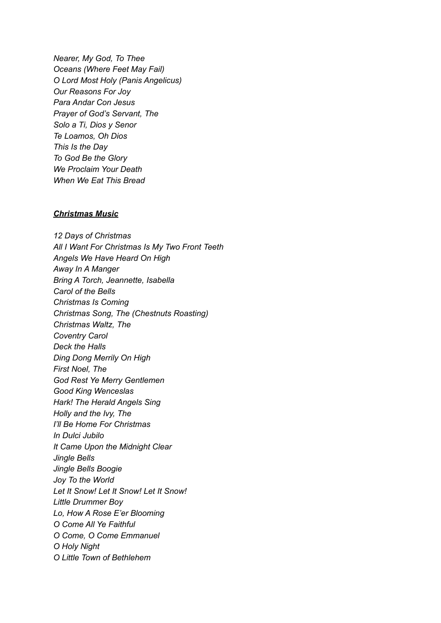*Nearer, My God, To Thee Oceans (Where Feet May Fail) O Lord Most Holy (Panis Angelicus) Our Reasons For Joy Para Andar Con Jesus Prayer of God's Servant, The Solo a Ti, Dios y Senor Te Loamos, Oh Dios This Is the Day To God Be the Glory We Proclaim Your Death When We Eat This Bread*

#### *Christmas Music*

*12 Days of Christmas All I Want For Christmas Is My Two Front Teeth Angels We Have Heard On High Away In A Manger Bring A Torch, Jeannette, Isabella Carol of the Bells Christmas Is Coming Christmas Song, The (Chestnuts Roasting) Christmas Waltz, The Coventry Carol Deck the Halls Ding Dong Merrily On High First Noel, The God Rest Ye Merry Gentlemen Good King Wenceslas Hark! The Herald Angels Sing Holly and the Ivy, The I'll Be Home For Christmas In Dulci Jubilo It Came Upon the Midnight Clear Jingle Bells Jingle Bells Boogie Joy To the World Let It Snow! Let It Snow! Let It Snow! Little Drummer Boy Lo, How A Rose E'er Blooming O Come All Ye Faithful O Come, O Come Emmanuel O Holy Night O Little Town of Bethlehem*